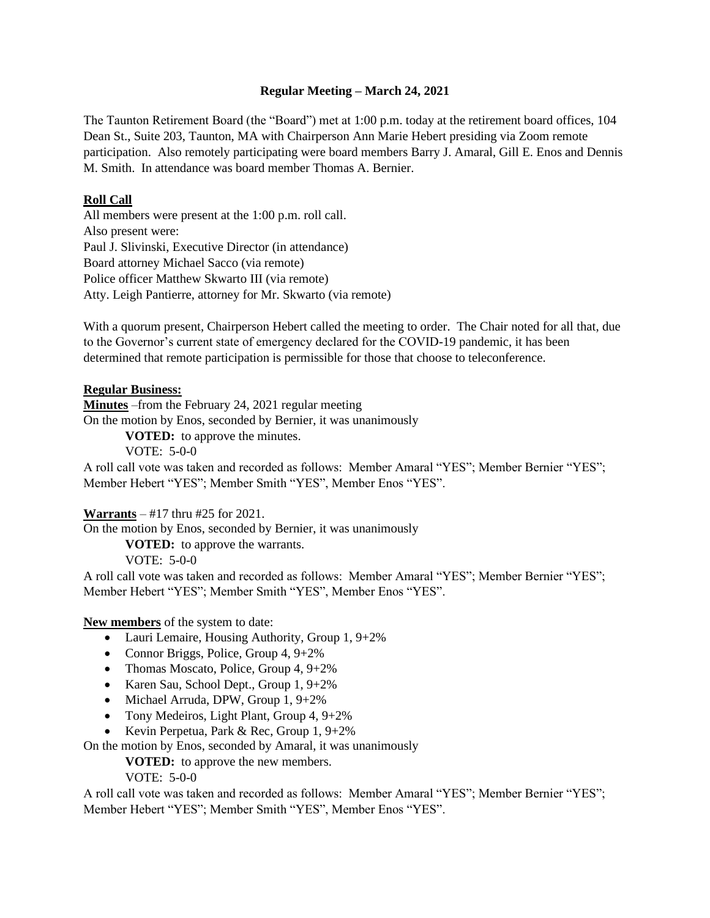### **Regular Meeting – March 24, 2021**

The Taunton Retirement Board (the "Board") met at 1:00 p.m. today at the retirement board offices, 104 Dean St., Suite 203, Taunton, MA with Chairperson Ann Marie Hebert presiding via Zoom remote participation. Also remotely participating were board members Barry J. Amaral, Gill E. Enos and Dennis M. Smith. In attendance was board member Thomas A. Bernier.

### **Roll Call**

All members were present at the 1:00 p.m. roll call. Also present were: Paul J. Slivinski, Executive Director (in attendance) Board attorney Michael Sacco (via remote) Police officer Matthew Skwarto III (via remote) Atty. Leigh Pantierre, attorney for Mr. Skwarto (via remote)

With a quorum present, Chairperson Hebert called the meeting to order. The Chair noted for all that, due to the Governor's current state of emergency declared for the COVID-19 pandemic, it has been determined that remote participation is permissible for those that choose to teleconference.

#### **Regular Business:**

**Minutes** –from the February 24, 2021 regular meeting On the motion by Enos, seconded by Bernier, it was unanimously

**VOTED:** to approve the minutes. VOTE: 5-0-0

A roll call vote was taken and recorded as follows: Member Amaral "YES"; Member Bernier "YES"; Member Hebert "YES"; Member Smith "YES", Member Enos "YES".

#### **Warrants** – #17 thru #25 for 2021.

On the motion by Enos, seconded by Bernier, it was unanimously

**VOTED:** to approve the warrants.

VOTE: 5-0-0

A roll call vote was taken and recorded as follows: Member Amaral "YES"; Member Bernier "YES"; Member Hebert "YES"; Member Smith "YES", Member Enos "YES".

#### **New members** of the system to date:

- Lauri Lemaire, Housing Authority, Group 1, 9+2%
- Connor Briggs, Police, Group 4, 9+2%
- Thomas Moscato, Police, Group  $4, 9+2\%$
- Karen Sau, School Dept., Group 1, 9+2%
- Michael Arruda, DPW, Group 1, 9+2%
- Tony Medeiros, Light Plant, Group 4, 9+2%
- Kevin Perpetua, Park & Rec, Group 1, 9+2%

On the motion by Enos, seconded by Amaral, it was unanimously

**VOTED:** to approve the new members.

VOTE: 5-0-0

A roll call vote was taken and recorded as follows: Member Amaral "YES"; Member Bernier "YES"; Member Hebert "YES"; Member Smith "YES", Member Enos "YES".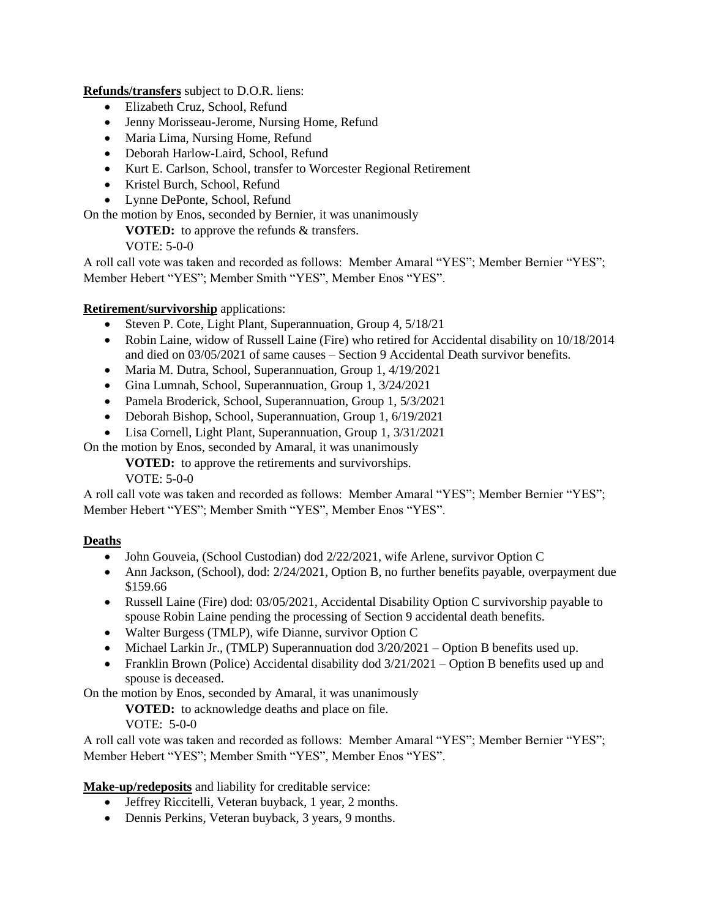**Refunds/transfers** subject to D.O.R. liens:

- Elizabeth Cruz, School, Refund
- Jenny Morisseau-Jerome, Nursing Home, Refund
- Maria Lima, Nursing Home, Refund
- Deborah Harlow-Laird, School, Refund
- Kurt E. Carlson, School, transfer to Worcester Regional Retirement
- Kristel Burch, School, Refund
- Lynne DePonte, School, Refund

On the motion by Enos, seconded by Bernier, it was unanimously

**VOTED:** to approve the refunds & transfers.

VOTE: 5-0-0

A roll call vote was taken and recorded as follows: Member Amaral "YES"; Member Bernier "YES"; Member Hebert "YES"; Member Smith "YES", Member Enos "YES".

# **Retirement/survivorship** applications:

- Steven P. Cote, Light Plant, Superannuation, Group 4, 5/18/21
- Robin Laine, widow of Russell Laine (Fire) who retired for Accidental disability on  $10/18/2014$ and died on 03/05/2021 of same causes – Section 9 Accidental Death survivor benefits.
- Maria M. Dutra, School, Superannuation, Group 1, 4/19/2021
- Gina Lumnah, School, Superannuation, Group 1, 3/24/2021
- Pamela Broderick, School, Superannuation, Group 1, 5/3/2021
- Deborah Bishop, School, Superannuation, Group 1, 6/19/2021
- Lisa Cornell, Light Plant, Superannuation, Group 1, 3/31/2021

On the motion by Enos, seconded by Amaral, it was unanimously

**VOTED:** to approve the retirements and survivorships.

VOTE: 5-0-0

A roll call vote was taken and recorded as follows: Member Amaral "YES"; Member Bernier "YES"; Member Hebert "YES"; Member Smith "YES", Member Enos "YES".

# **Deaths**

- John Gouveia, (School Custodian) dod 2/22/2021, wife Arlene, survivor Option C
- Ann Jackson, (School), dod: 2/24/2021, Option B, no further benefits payable, overpayment due \$159.66
- Russell Laine (Fire) dod: 03/05/2021, Accidental Disability Option C survivorship payable to spouse Robin Laine pending the processing of Section 9 accidental death benefits.
- Walter Burgess (TMLP), wife Dianne, survivor Option C
- Michael Larkin Jr., (TMLP) Superannuation dod  $3/20/2021$  Option B benefits used up.
- Franklin Brown (Police) Accidental disability dod  $3/21/2021$  Option B benefits used up and spouse is deceased.

On the motion by Enos, seconded by Amaral, it was unanimously

**VOTED:** to acknowledge deaths and place on file.

VOTE: 5-0-0

A roll call vote was taken and recorded as follows: Member Amaral "YES"; Member Bernier "YES"; Member Hebert "YES"; Member Smith "YES", Member Enos "YES".

**Make-up/redeposits** and liability for creditable service:

- Jeffrey Riccitelli, Veteran buyback, 1 year, 2 months.
- Dennis Perkins, Veteran buyback, 3 years, 9 months.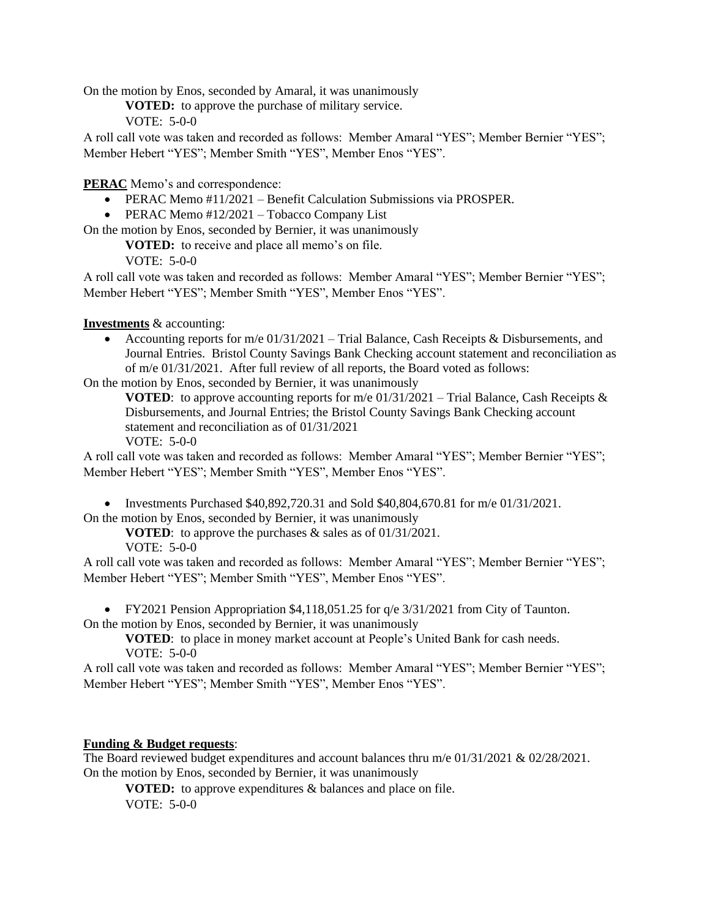On the motion by Enos, seconded by Amaral, it was unanimously

**VOTED:** to approve the purchase of military service.

VOTE: 5-0-0

A roll call vote was taken and recorded as follows: Member Amaral "YES"; Member Bernier "YES"; Member Hebert "YES"; Member Smith "YES", Member Enos "YES".

**PERAC** Memo's and correspondence:

- PERAC Memo  $#11/2021 -$  Benefit Calculation Submissions via PROSPER.
- PERAC Memo #12/2021 Tobacco Company List

On the motion by Enos, seconded by Bernier, it was unanimously

**VOTED:** to receive and place all memo's on file.

 $VOTE: 5-0-0$ 

A roll call vote was taken and recorded as follows: Member Amaral "YES"; Member Bernier "YES"; Member Hebert "YES"; Member Smith "YES", Member Enos "YES".

**Investments** & accounting:

• Accounting reports for m/e  $01/31/2021$  – Trial Balance, Cash Receipts & Disbursements, and Journal Entries. Bristol County Savings Bank Checking account statement and reconciliation as of m/e 01/31/2021. After full review of all reports, the Board voted as follows:

On the motion by Enos, seconded by Bernier, it was unanimously

**VOTED**: to approve accounting reports for m/e  $01/31/2021$  – Trial Balance, Cash Receipts & Disbursements, and Journal Entries; the Bristol County Savings Bank Checking account statement and reconciliation as of 01/31/2021

VOTE: 5-0-0

A roll call vote was taken and recorded as follows: Member Amaral "YES"; Member Bernier "YES"; Member Hebert "YES"; Member Smith "YES", Member Enos "YES".

• Investments Purchased \$40,892,720.31 and Sold \$40,804,670.81 for  $m/e$  01/31/2021.

On the motion by Enos, seconded by Bernier, it was unanimously

**VOTED**: to approve the purchases & sales as of 01/31/2021. VOTE: 5-0-0

A roll call vote was taken and recorded as follows: Member Amaral "YES"; Member Bernier "YES"; Member Hebert "YES"; Member Smith "YES", Member Enos "YES".

• FY2021 Pension Appropriation  $$4,118,051.25$  for q/e  $3/31/2021$  from City of Taunton. On the motion by Enos, seconded by Bernier, it was unanimously

**VOTED**: to place in money market account at People's United Bank for cash needs.  $VOTE: 5-0-0$ 

A roll call vote was taken and recorded as follows: Member Amaral "YES"; Member Bernier "YES"; Member Hebert "YES"; Member Smith "YES", Member Enos "YES".

# **Funding & Budget requests**:

The Board reviewed budget expenditures and account balances thru m/e 01/31/2021 & 02/28/2021. On the motion by Enos, seconded by Bernier, it was unanimously

**VOTED:** to approve expenditures & balances and place on file. VOTE: 5-0-0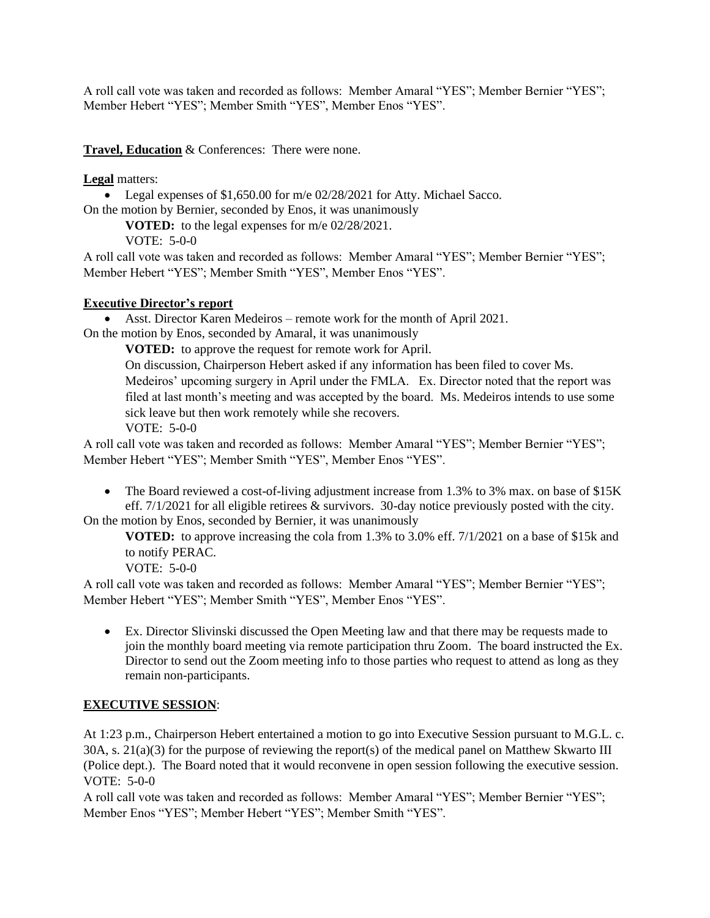A roll call vote was taken and recorded as follows: Member Amaral "YES"; Member Bernier "YES"; Member Hebert "YES"; Member Smith "YES", Member Enos "YES".

**Travel, Education** & Conferences: There were none.

**Legal** matters:

• Legal expenses of \$1,650.00 for m/e 02/28/2021 for Atty. Michael Sacco.

On the motion by Bernier, seconded by Enos, it was unanimously

**VOTED:** to the legal expenses for m/e 02/28/2021.

VOTE: 5-0-0

A roll call vote was taken and recorded as follows: Member Amaral "YES"; Member Bernier "YES"; Member Hebert "YES"; Member Smith "YES", Member Enos "YES".

## **Executive Director's report**

• Asst. Director Karen Medeiros – remote work for the month of April 2021.

On the motion by Enos, seconded by Amaral, it was unanimously

**VOTED:** to approve the request for remote work for April.

On discussion, Chairperson Hebert asked if any information has been filed to cover Ms. Medeiros' upcoming surgery in April under the FMLA. Ex. Director noted that the report was filed at last month's meeting and was accepted by the board. Ms. Medeiros intends to use some sick leave but then work remotely while she recovers.

VOTE: 5-0-0

A roll call vote was taken and recorded as follows: Member Amaral "YES"; Member Bernier "YES"; Member Hebert "YES"; Member Smith "YES", Member Enos "YES".

• The Board reviewed a cost-of-living adjustment increase from 1.3% to 3% max. on base of \$15K eff. 7/1/2021 for all eligible retirees & survivors. 30-day notice previously posted with the city. On the motion by Enos, seconded by Bernier, it was unanimously

**VOTED:** to approve increasing the cola from 1.3% to 3.0% eff. 7/1/2021 on a base of \$15k and to notify PERAC.

VOTE: 5-0-0

A roll call vote was taken and recorded as follows: Member Amaral "YES"; Member Bernier "YES"; Member Hebert "YES"; Member Smith "YES", Member Enos "YES".

• Ex. Director Slivinski discussed the Open Meeting law and that there may be requests made to join the monthly board meeting via remote participation thru Zoom. The board instructed the Ex. Director to send out the Zoom meeting info to those parties who request to attend as long as they remain non-participants.

# **EXECUTIVE SESSION**:

At 1:23 p.m., Chairperson Hebert entertained a motion to go into Executive Session pursuant to M.G.L. c. 30A, s. 21(a)(3) for the purpose of reviewing the report(s) of the medical panel on Matthew Skwarto III (Police dept.). The Board noted that it would reconvene in open session following the executive session. VOTE: 5-0-0

A roll call vote was taken and recorded as follows: Member Amaral "YES"; Member Bernier "YES"; Member Enos "YES"; Member Hebert "YES"; Member Smith "YES".